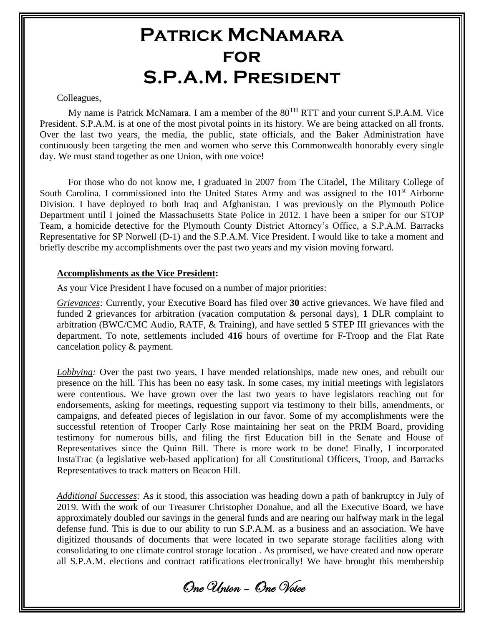## **Patrick McNamara for S.P.A.M. President**

#### Colleagues,

My name is Patrick McNamara. I am a member of the  $80^{TH}$  RTT and your current S.P.A.M. Vice President. S.P.A.M. is at one of the most pivotal points in its history. We are being attacked on all fronts. Over the last two years, the media, the public, state officials, and the Baker Administration have continuously been targeting the men and women who serve this Commonwealth honorably every single day. We must stand together as one Union, with one voice!

For those who do not know me, I graduated in 2007 from The Citadel, The Military College of South Carolina. I commissioned into the United States Army and was assigned to the 101<sup>st</sup> Airborne Division. I have deployed to both Iraq and Afghanistan. I was previously on the Plymouth Police Department until I joined the Massachusetts State Police in 2012. I have been a sniper for our STOP Team, a homicide detective for the Plymouth County District Attorney's Office, a S.P.A.M. Barracks Representative for SP Norwell (D-1) and the S.P.A.M. Vice President. I would like to take a moment and briefly describe my accomplishments over the past two years and my vision moving forward.

#### **Accomplishments as the Vice President:**

As your Vice President I have focused on a number of major priorities:

*Grievances:* Currently, your Executive Board has filed over **30** active grievances. We have filed and funded **2** grievances for arbitration (vacation computation & personal days), **1** DLR complaint to arbitration (BWC/CMC Audio, RATF, & Training), and have settled **5** STEP III grievances with the department. To note, settlements included **416** hours of overtime for F-Troop and the Flat Rate cancelation policy & payment.

*Lobbying:* Over the past two years, I have mended relationships, made new ones, and rebuilt our presence on the hill. This has been no easy task. In some cases, my initial meetings with legislators were contentious. We have grown over the last two years to have legislators reaching out for endorsements, asking for meetings, requesting support via testimony to their bills, amendments, or campaigns, and defeated pieces of legislation in our favor. Some of my accomplishments were the successful retention of Trooper Carly Rose maintaining her seat on the PRIM Board, providing testimony for numerous bills, and filing the first Education bill in the Senate and House of Representatives since the Quinn Bill. There is more work to be done! Finally, I incorporated InstaTrac (a legislative web-based application) for all Constitutional Officers, Troop, and Barracks Representatives to track matters on Beacon Hill.

*Additional Successes:* As it stood, this association was heading down a path of bankruptcy in July of 2019. With the work of our Treasurer Christopher Donahue, and all the Executive Board, we have approximately doubled our savings in the general funds and are nearing our halfway mark in the legal defense fund. This is due to our ability to run S.P.A.M. as a business and an association. We have digitized thousands of documents that were located in two separate storage facilities along with consolidating to one climate control storage location . As promised, we have created and now operate all S.P.A.M. elections and contract ratifications electronically! We have brought this membership

One Union – One Voice